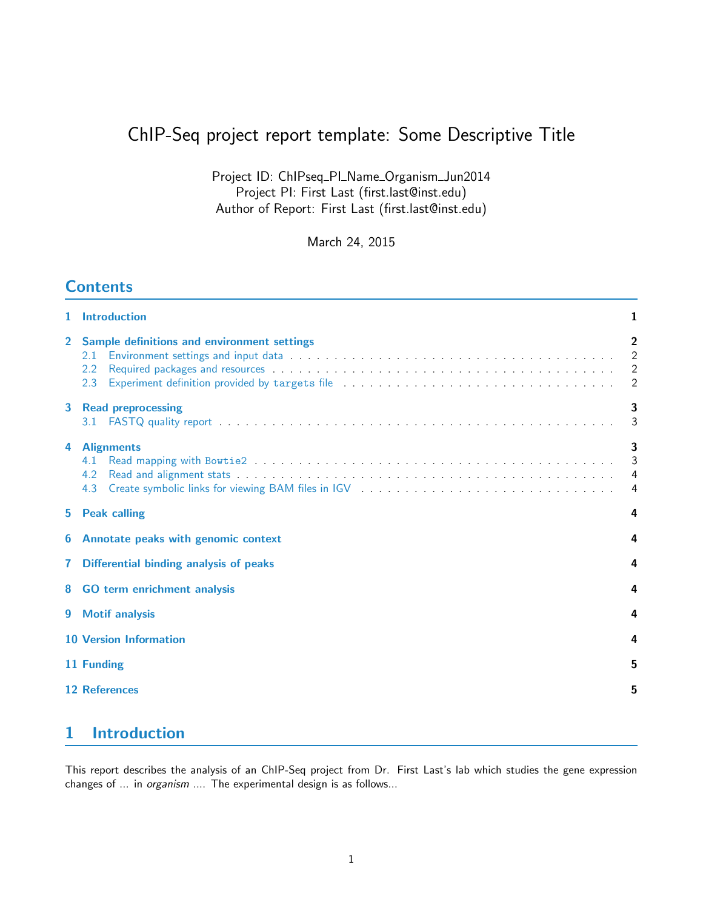# ChIP-Seq project report template: Some Descriptive Title

Project ID: ChIPseq\_PI\_Name\_Organism\_Jun2014 Project PI: First Last (first.last@inst.edu) Author of Report: First Last (first.last@inst.edu)

March 24, 2015

### **Contents**

| 1.             | <b>Introduction</b>                                                        | 1                             |  |  |  |
|----------------|----------------------------------------------------------------------------|-------------------------------|--|--|--|
| $\overline{2}$ | Sample definitions and environment settings<br>2.1<br>$2.2^{\circ}$<br>2.3 | $\overline{2}$<br>2<br>2      |  |  |  |
| 3              | <b>Read preprocessing</b>                                                  | 3<br>3                        |  |  |  |
| 4              | <b>Alignments</b><br>4.1<br>4.2<br>4.3                                     | 3<br>3<br>$\overline{4}$<br>4 |  |  |  |
| 5.             | <b>Peak calling</b><br>4                                                   |                               |  |  |  |
| 6              | Annotate peaks with genomic context                                        |                               |  |  |  |
| 7              | 4<br>Differential binding analysis of peaks                                |                               |  |  |  |
| 8              | <b>GO term enrichment analysis</b>                                         |                               |  |  |  |
| 9              | <b>Motif analysis</b>                                                      |                               |  |  |  |
|                | <b>10 Version Information</b>                                              |                               |  |  |  |
|                | 11 Funding                                                                 |                               |  |  |  |
|                | 12 References                                                              | 5                             |  |  |  |
|                |                                                                            |                               |  |  |  |

# <span id="page-0-0"></span>1 Introduction

This report describes the analysis of an ChIP-Seq project from Dr. First Last's lab which studies the gene expression changes of ... in organism .... The experimental design is as follows...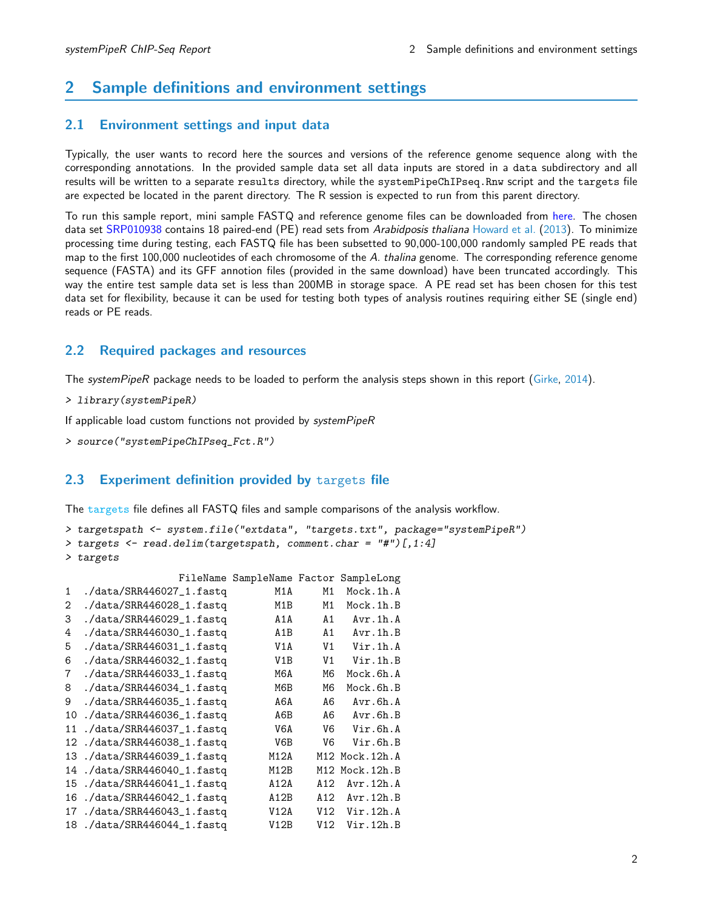### <span id="page-1-0"></span>2 Sample definitions and environment settings

#### <span id="page-1-1"></span>2.1 Environment settings and input data

Typically, the user wants to record here the sources and versions of the reference genome sequence along with the corresponding annotations. In the provided sample data set all data inputs are stored in a data subdirectory and all results will be written to a separate results directory, while the systemPipeChIPseq.Rnw script and the targets file are expected be located in the parent directory. The R session is expected to run from this parent directory.

To run this sample report, mini sample FASTQ and reference genome files can be downloaded from [here.](http://biocluster.ucr.edu/~tgirke/projects/systemPipeR_test_data.zip) The chosen data set [SRP010938](http://www.ncbi.nlm.nih.gov/sra/?term=SRP010938) contains 18 paired-end (PE) read sets from Arabidposis thaliana [Howard et al.](#page-4-2) [\(2013\)](#page-4-2). To minimize processing time during testing, each FASTQ file has been subsetted to 90,000-100,000 randomly sampled PE reads that map to the first 100,000 nucleotides of each chromosome of the A. thalina genome. The corresponding reference genome sequence (FASTA) and its GFF annotion files (provided in the same download) have been truncated accordingly. This way the entire test sample data set is less than 200MB in storage space. A PE read set has been chosen for this test data set for flexibility, because it can be used for testing both types of analysis routines requiring either SE (single end) reads or PE reads.

#### <span id="page-1-2"></span>2.2 Required packages and resources

The systemPipeR package needs to be loaded to perform the analysis steps shown in this report [\(Girke,](#page-4-3) [2014\)](#page-4-3).

```
> library(systemPipeR)
```
If applicable load custom functions not provided by systemPipeR

```
> source("systemPipeChIPseq_Fct.R")
```
#### <span id="page-1-3"></span>2.3 Experiment definition provided by targets file

The targets file defines all FASTQ files and sample comparisons of the analysis workflow.

```
> targetspath <- system.file("extdata", "targets.txt", package="systemPipeR")
> targets <- read.delim(targetspath, comment.char = "#")[,1:4]
> targets
```

|              |                            | FileName SampleName Factor SampleLong |                |                    |
|--------------|----------------------------|---------------------------------------|----------------|--------------------|
| $\mathbf{1}$ | ./data/SRR446027_1.fastq   | M1A                                   | M1             | Mock.1h.A          |
| 2            | ./data/SRR446028_1.fastq   | M1B                                   | M1             | Mock.1h.B          |
| 3            | ./data/SRR446029_1.fastq   | A1A                                   | A1             | Avr.1h.A           |
| 4            | ./data/SRR446030_1.fastq   | A <sub>1</sub> B                      | A1             | Avr.1h.B           |
| 5            | ./data/SRR446031_1.fastq   | V1A                                   | V <sub>1</sub> | Vir.1h.A           |
| 6            | ./data/SRR446032_1.fastq   | V1B                                   | V <sub>1</sub> | Vir.1h.B           |
| 7            | ./data/SRR446033_1.fastq   | M6A                                   | M6             | Mock.6h.A          |
| 8            | ./data/SRR446034_1.fastq   | M6B                                   | M6             | Mock.6h.B          |
| 9            | ./data/SRR446035_1.fastq   | A6A                                   | A6             | Avr.6h.A           |
| 10           | ./data/SRR446036_1.fastq   | A6B                                   | A6             | $Avr$ . $6h$ . $B$ |
| 11           | ./data/SRR446037_1.fastq   | V6A                                   | V6             | Vir.6h.A           |
| 12           | ./data/SRR446038_1.fastq   | V6B                                   | V6             | Vir.6h.B           |
| 13           | ./data/SRR446039_1.fastq   | M12A                                  |                | M12 Mock.12h.A     |
| 14           | $./data/SRR446040_1.fastq$ | M12B                                  |                | M12 Mock.12h.B     |
| 15           | ./data/SRR446041_1.fastq   | A12A                                  | A12            | Avr.12h.A          |
| 16           | ./data/SRR446042_1.fastq   | A12B                                  | A12            | Avr.12h.B          |
| 17           | ./data/SRR446043_1.fastq   | V12A                                  | V12            | Vir.12h.A          |
| 18           | ./data/SRR446044_1.fastq   | V12B                                  | V12            | Vir.12h.B          |
|              |                            |                                       |                |                    |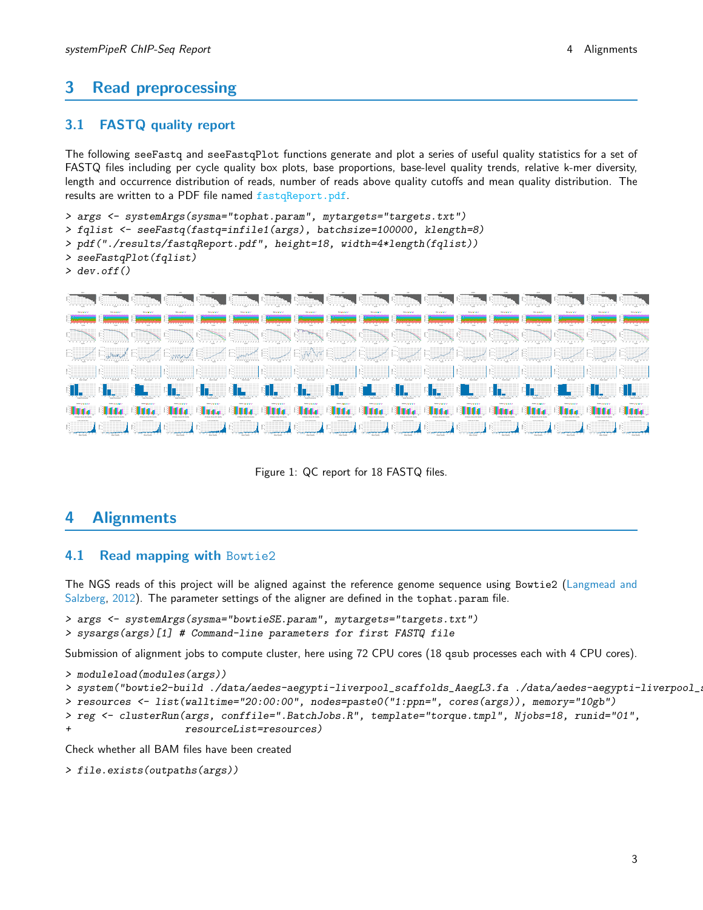### <span id="page-2-0"></span>3 Read preprocessing

### <span id="page-2-1"></span>3.1 FASTQ quality report

The following seeFastq and seeFastqPlot functions generate and plot a series of useful quality statistics for a set of FASTQ files including per cycle quality box plots, base proportions, base-level quality trends, relative k-mer diversity, length and occurrence distribution of reads, number of reads above quality cutoffs and mean quality distribution. The results are written to a PDF file named fastqReport.pdf.

```
> args <- systemArgs(sysma="tophat.param", mytargets="targets.txt")
> fqlist <- seeFastq(fastq=infile1(args), batchsize=100000, klength=8)
> pdf("./results/fastqReport.pdf", height=18, width=4*length(fqlist))
> seeFastqPlot(fqlist)
> dev.off()
```


Figure 1: QC report for 18 FASTQ files.

### <span id="page-2-2"></span>4 Alignments

#### <span id="page-2-3"></span>4.1 Read mapping with Bowtie2

The NGS reads of this project will be aligned against the reference genome sequence using Bowtie2 [\(Langmead and](#page-4-4) [Salzberg,](#page-4-4) [2012\)](#page-4-4). The parameter settings of the aligner are defined in the tophat.param file.

```
> args <- systemArgs(sysma="bowtieSE.param", mytargets="targets.txt")
> sysargs(args)[1] # Command-line parameters for first FASTQ file
```
Submission of alignment jobs to compute cluster, here using 72 CPU cores (18 qsub processes each with 4 CPU cores).

```
> moduleload(modules(args))
> system("bowtie2-build ./data/aedes-aegypti-liverpool_scaffolds_AaegL3.fa ./data/aedes-aegypti-liverpool_scaffolds_AaegL3.fa")
> resources <- list(walltime="20:00:00", nodes=paste0("1:ppn=", cores(args)), memory="10gb")
> reg <- clusterRun(args, conffile=".BatchJobs.R", template="torque.tmpl", Njobs=18, runid="01",
+ resourceList=resources)
```
Check whether all BAM files have been created

```
> file.exists(outpaths(args))
```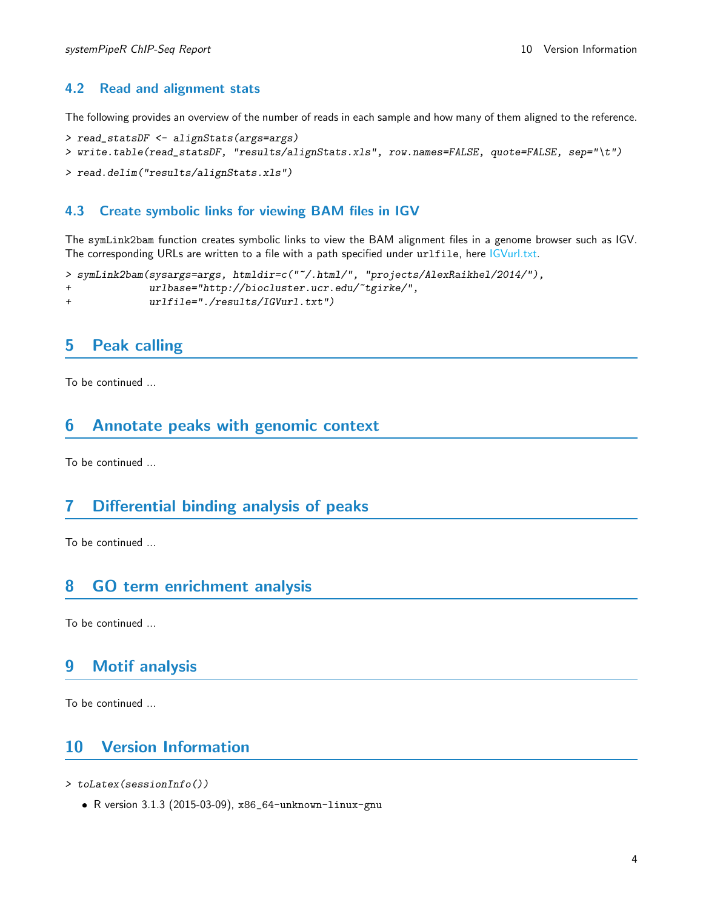### <span id="page-3-0"></span>4.2 Read and alignment stats

The following provides an overview of the number of reads in each sample and how many of them aligned to the reference.

```
> read_statsDF <- alignStats(args=args)
> write.table(read_statsDF, "results/alignStats.xls", row.names=FALSE, quote=FALSE, sep="\t")
```

```
> read.delim("results/alignStats.xls")
```
#### <span id="page-3-1"></span>4.3 Create symbolic links for viewing BAM files in IGV

The symLink2bam function creates symbolic links to view the BAM alignment files in a genome browser such as IGV. The corresponding URLs are written to a file with a path specified under urlfile, here IGVurl.txt.

```
> symLink2bam(sysargs=args, htmldir=c("~/.html/", "projects/AlexRaikhel/2014/"),
+ urlbase="http://biocluster.ucr.edu/~tgirke/",
+ urlfile="./results/IGVurl.txt")
```
### <span id="page-3-2"></span>5 Peak calling

To be continued ...

### <span id="page-3-3"></span>6 Annotate peaks with genomic context

To be continued ...

### <span id="page-3-4"></span>7 Differential binding analysis of peaks

To be continued ...

### <span id="page-3-5"></span>8 GO term enrichment analysis

To be continued ...

### <span id="page-3-6"></span>9 Motif analysis

To be continued ...

### <span id="page-3-7"></span>10 Version Information

- > toLatex(sessionInfo())
	- R version 3.1.3 (2015-03-09), x86\_64-unknown-linux-gnu